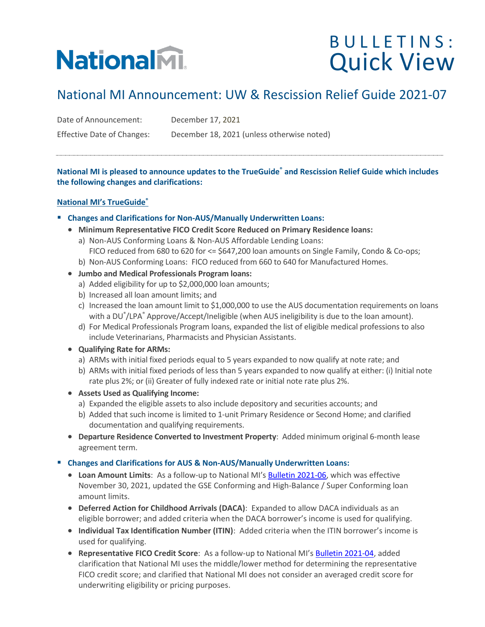# **NationalM.**

### BULLETINS: Quick View

### National MI Announcement: UW & Rescission Relief Guide 2021-07

Date of Announcement: December 17, 2021

Effective Date of Changes: December 18, 2021 (unless otherwise noted)

**National MI is pleased to announce updates to the TrueGuide® and Rescission Relief Guide which includes the following changes and clarifications:**

#### **National MI's TrueGuide®**

- **Changes and Clarifications for Non-AUS/Manually Underwritten Loans:**
	- **Minimum Representative FICO Credit Score Reduced on Primary Residence loans:** 
		- a) Non-AUS Conforming Loans & Non-AUS Affordable Lending Loans: FICO reduced from 680 to 620 for <= \$647,200 loan amounts on Single Family, Condo & Co-ops;
		- b) Non-AUS Conforming Loans: FICO reduced from 660 to 640 for Manufactured Homes.
	- **Jumbo and Medical Professionals Program loans:**
		- a) Added eligibility for up to \$2,000,000 loan amounts;
		- b) Increased all loan amount limits; and
		- c) Increased the loan amount limit to \$1,000,000 to use the AUS documentation requirements on loans with a DU® /LPA® Approve/Accept/Ineligible (when AUS ineligibility is due to the loan amount).
		- d) For Medical Professionals Program loans, expanded the list of eligible medical professions to also include Veterinarians, Pharmacists and Physician Assistants.
	- **Qualifying Rate for ARMs:**
		- a) ARMs with initial fixed periods equal to 5 years expanded to now qualify at note rate; and
		- b) ARMs with initial fixed periods of less than 5 years expanded to now qualify at either: (i) Initial note rate plus 2%; or (ii) Greater of fully indexed rate or initial note rate plus 2%.
	- **Assets Used as Qualifying Income:**
		- a) Expanded the eligible assets to also include depository and securities accounts; and
		- b) Added that such income is limited to 1-unit Primary Residence or Second Home; and clarified documentation and qualifying requirements.
	- **Departure Residence Converted to Investment Property**: Added minimum original 6-month lease agreement term.

▪ **Changes and Clarifications for AUS & Non-AUS/Manually Underwritten Loans:**

- **Loan Amount Limits**: As a follow-up to National MI's [Bulletin 2021-06,](https://www.nationalmi.com/wp-content/uploads/2021/12/National-MI-Bulletin-UW-2021-06.pdf) which was effective November 30, 2021, updated the GSE Conforming and High-Balance / Super Conforming loan amount limits.
- **Deferred Action for Childhood Arrivals (DACA)**: Expanded to allow DACA individuals as an eligible borrower; and added criteria when the DACA borrower's income is used for qualifying.
- **Individual Tax Identification Number (ITIN)**: Added criteria when the ITIN borrower's income is used for qualifying.
- **Representative FICO Credit Score**: As a follow-up to National MI's [Bulletin 2021-04,](https://www.nationalmi.com/wp-content/uploads/2021/08/National-MI-Bulletin-UW-2021-04-1.pdf) added clarification that National MI uses the middle/lower method for determining the representative FICO credit score; and clarified that National MI does not consider an averaged credit score for underwriting eligibility or pricing purposes.